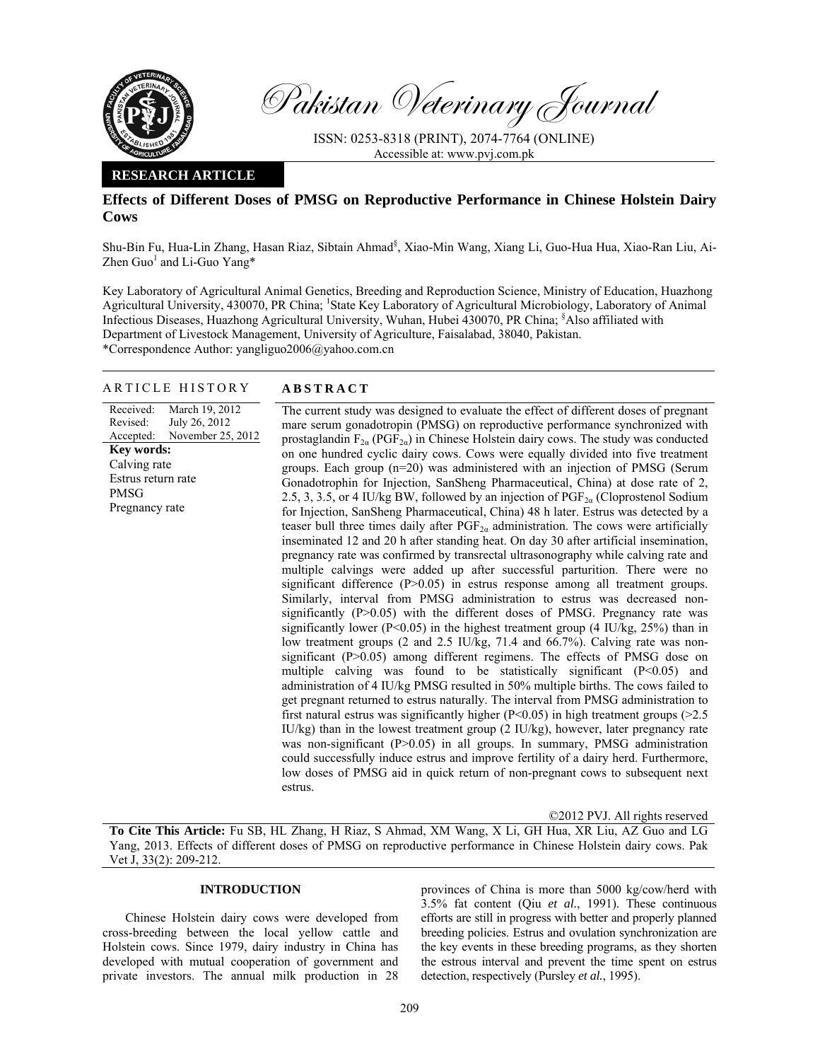

Pakistan Veterinary Journal

ISSN: 0253-8318 (PRINT), 2074-7764 (ONLINE) Accessible at: www.pvj.com.pk

## **RESEARCH ARTICLE**

# **Effects of Different Doses of PMSG on Reproductive Performance in Chinese Holstein Dairy Cows**

Shu-Bin Fu, Hua-Lin Zhang, Hasan Riaz, Sibtain Ahmad<sup>§</sup>, Xiao-Min Wang, Xiang Li, Guo-Hua Hua, Xiao-Ran Liu, Ai-Zhen Guo<sup>1</sup> and Li-Guo Yang\*

Key Laboratory of Agricultural Animal Genetics, Breeding and Reproduction Science, Ministry of Education, Huazhong Agricultural University, 430070, PR China; <sup>1</sup>State Key Laboratory of Agricultural Microbiology, Laboratory of Animal Infectious Diseases, Huazhong Agricultural University, Wuhan, Hubei 430070, PR China; § Also affiliated with Department of Livestock Management, University of Agriculture, Faisalabad, 38040, Pakistan. \*Correspondence Author: yangliguo2006@yahoo.com.cn

## ARTICLE HISTORY **ABSTRACT**

Received: Revised: Accepted: March 19, 2012 July 26, 2012 November 25, 2012 **Key words:**  Calving rate Estrus return rate PMSG Pregnancy rate

 The current study was designed to evaluate the effect of different doses of pregnant mare serum gonadotropin (PMSG) on reproductive performance synchronized with prostaglandin  $F_{2\alpha}$  (PGF<sub>2a</sub>) in Chinese Holstein dairy cows. The study was conducted on one hundred cyclic dairy cows. Cows were equally divided into five treatment groups. Each group (n=20) was administered with an injection of PMSG (Serum Gonadotrophin for Injection, SanSheng Pharmaceutical, China) at dose rate of 2, 2.5, 3, 3.5, or 4 IU/kg BW, followed by an injection of  $PGF_{2a}$  (Cloprostenol Sodium for Injection, SanSheng Pharmaceutical, China) 48 h later. Estrus was detected by a teaser bull three times daily after  $PGF_{2\alpha}$  administration. The cows were artificially inseminated 12 and 20 h after standing heat. On day 30 after artificial insemination, pregnancy rate was confirmed by transrectal ultrasonography while calving rate and multiple calvings were added up after successful parturition. There were no significant difference (P>0.05) in estrus response among all treatment groups. Similarly, interval from PMSG administration to estrus was decreased nonsignificantly  $(P>0.05)$  with the different doses of PMSG. Pregnancy rate was significantly lower ( $P \le 0.05$ ) in the highest treatment group (4 IU/kg,  $25\%$ ) than in low treatment groups (2 and 2.5 IU/kg, 71.4 and 66.7%). Calving rate was nonsignificant (P>0.05) among different regimens. The effects of PMSG dose on multiple calving was found to be statistically significant (P<0.05) and administration of 4 IU/kg PMSG resulted in 50% multiple births. The cows failed to get pregnant returned to estrus naturally. The interval from PMSG administration to first natural estrus was significantly higher ( $P<0.05$ ) in high treatment groups ( $>2.5$ ) IU/kg) than in the lowest treatment group (2 IU/kg), however, later pregnancy rate was non-significant (P>0.05) in all groups. In summary, PMSG administration could successfully induce estrus and improve fertility of a dairy herd. Furthermore, low doses of PMSG aid in quick return of non-pregnant cows to subsequent next estrus.

©2012 PVJ. All rights reserved

**To Cite This Article:** Fu SB, HL Zhang, H Riaz, S Ahmad, XM Wang, X Li, GH Hua, XR Liu, AZ Guo and LG Yang, 2013. Effects of different doses of PMSG on reproductive performance in Chinese Holstein dairy cows. Pak Vet J, 33(2): 209-212.

## **INTRODUCTION**

Chinese Holstein dairy cows were developed from cross-breeding between the local yellow cattle and Holstein cows. Since 1979, dairy industry in China has developed with mutual cooperation of government and private investors. The annual milk production in 28

provinces of China is more than 5000 kg/cow/herd with 3.5% fat content (Qiu *et al.*, 1991). These continuous efforts are still in progress with better and properly planned breeding policies. Estrus and ovulation synchronization are the key events in these breeding programs, as they shorten the estrous interval and prevent the time spent on estrus detection, respectively (Pursley *et al.*, 1995).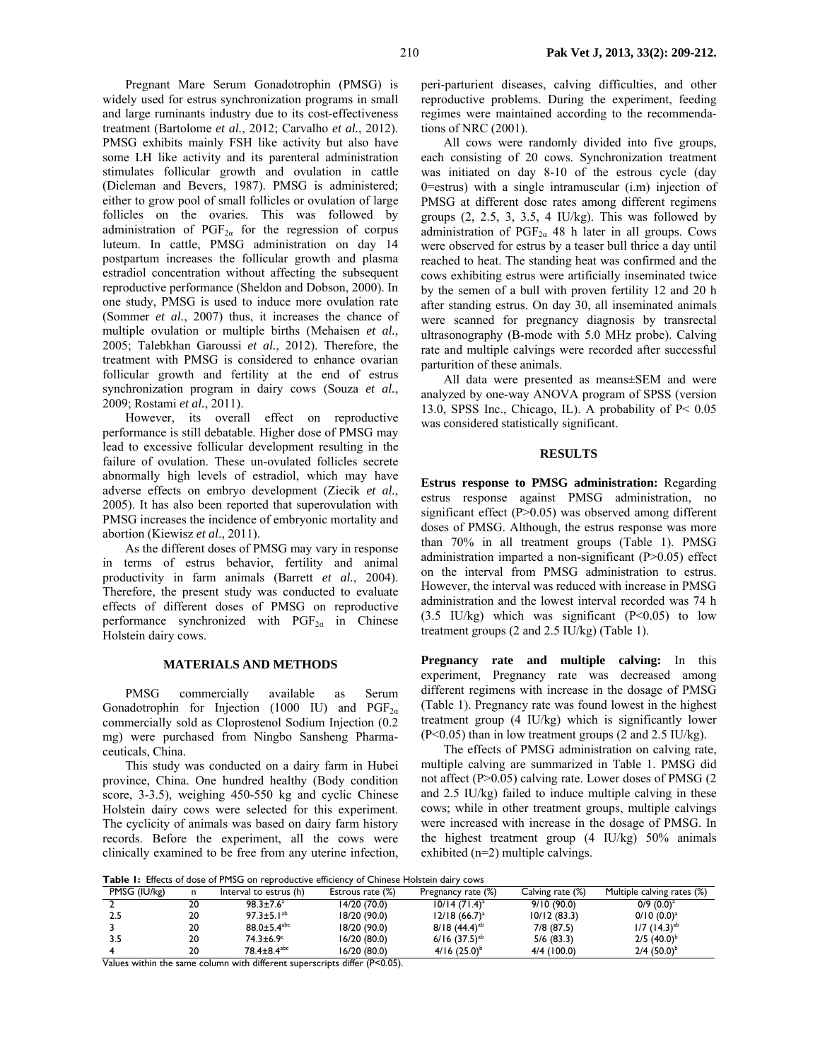Pregnant Mare Serum Gonadotrophin (PMSG) is widely used for estrus synchronization programs in small and large ruminants industry due to its cost-effectiveness treatment (Bartolome *et al.*, 2012; Carvalho *et al.*, 2012). PMSG exhibits mainly FSH like activity but also have some LH like activity and its parenteral administration stimulates follicular growth and ovulation in cattle (Dieleman and Bevers, 1987). PMSG is administered; either to grow pool of small follicles or ovulation of large follicles on the ovaries. This was followed by administration of  $PGF_{2\alpha}$  for the regression of corpus luteum. In cattle, PMSG administration on day 14 postpartum increases the follicular growth and plasma estradiol concentration without affecting the subsequent reproductive performance (Sheldon and Dobson, 2000). In one study, PMSG is used to induce more ovulation rate (Sommer *et al.*, 2007) thus, it increases the chance of multiple ovulation or multiple births (Mehaisen *et al.*, 2005; Talebkhan Garoussi *et al.*, 2012). Therefore, the treatment with PMSG is considered to enhance ovarian follicular growth and fertility at the end of estrus synchronization program in dairy cows (Souza *et al.*, 2009; Rostami *et al.*, 2011).

However, its overall effect on reproductive performance is still debatable. Higher dose of PMSG may lead to excessive follicular development resulting in the failure of ovulation. These un-ovulated follicles secrete abnormally high levels of estradiol, which may have adverse effects on embryo development (Ziecik *et al.*, 2005). It has also been reported that superovulation with PMSG increases the incidence of embryonic mortality and abortion (Kiewisz *et al*., 2011).

As the different doses of PMSG may vary in response in terms of estrus behavior, fertility and animal productivity in farm animals (Barrett *et al.*, 2004). Therefore, the present study was conducted to evaluate effects of different doses of PMSG on reproductive performance synchronized with  $PGF_{2\alpha}$  in Chinese Holstein dairy cows.

#### **MATERIALS AND METHODS**

PMSG commercially available as Serum Gonadotrophin for Injection (1000 IU) and  $PGF_{2\alpha}$ commercially sold as Cloprostenol Sodium Injection (0.2 mg) were purchased from Ningbo Sansheng Pharmaceuticals, China.

This study was conducted on a dairy farm in Hubei province, China. One hundred healthy (Body condition score, 3-3.5), weighing 450-550 kg and cyclic Chinese Holstein dairy cows were selected for this experiment. The cyclicity of animals was based on dairy farm history records. Before the experiment, all the cows were clinically examined to be free from any uterine infection, peri-parturient diseases, calving difficulties, and other reproductive problems. During the experiment, feeding regimes were maintained according to the recommendations of NRC (2001).

All cows were randomly divided into five groups, each consisting of 20 cows. Synchronization treatment was initiated on day 8-10 of the estrous cycle (day 0=estrus) with a single intramuscular (i.m) injection of PMSG at different dose rates among different regimens groups  $(2, 2.5, 3, 3.5, 4$  IU/kg). This was followed by administration of  $PGF_{2\alpha}$  48 h later in all groups. Cows were observed for estrus by a teaser bull thrice a day until reached to heat. The standing heat was confirmed and the cows exhibiting estrus were artificially inseminated twice by the semen of a bull with proven fertility 12 and 20 h after standing estrus. On day 30, all inseminated animals were scanned for pregnancy diagnosis by transrectal ultrasonography (B-mode with 5.0 MHz probe). Calving rate and multiple calvings were recorded after successful parturition of these animals.

All data were presented as means±SEM and were analyzed by one-way ANOVA program of SPSS (version 13.0, SPSS Inc., Chicago, IL). A probability of P< 0.05 was considered statistically significant.

## **RESULTS**

**Estrus response to PMSG administration:** Regarding estrus response against PMSG administration, no significant effect (P>0.05) was observed among different doses of PMSG. Although, the estrus response was more than 70% in all treatment groups (Table 1). PMSG administration imparted a non-significant (P>0.05) effect on the interval from PMSG administration to estrus. However, the interval was reduced with increase in PMSG administration and the lowest interval recorded was 74 h  $(3.5 \text{ IU/kg})$  which was significant  $(P<0.05)$  to low treatment groups (2 and 2.5 IU/kg) (Table 1).

**Pregnancy rate and multiple calving:** In this experiment, Pregnancy rate was decreased among different regimens with increase in the dosage of PMSG (Table 1). Pregnancy rate was found lowest in the highest treatment group (4 IU/kg) which is significantly lower (P<0.05) than in low treatment groups (2 and 2.5 IU/kg).

The effects of PMSG administration on calving rate, multiple calving are summarized in Table 1. PMSG did not affect (P>0.05) calving rate. Lower doses of PMSG (2 and 2.5 IU/kg) failed to induce multiple calving in these cows; while in other treatment groups, multiple calvings were increased with increase in the dosage of PMSG. In the highest treatment group (4 IU/kg) 50% animals exhibited (n=2) multiple calvings.

**Table 1:** Effects of dose of PMSG on reproductive efficiency of Chinese Holstein dairy cows

| PMSG (IU/kg) |    | Interval to estrus (h)        | Estrous rate (%) | Pregnancy rate (%)          | Calving rate (%) | Multiple calving rates (%) |  |  |
|--------------|----|-------------------------------|------------------|-----------------------------|------------------|----------------------------|--|--|
|              | 20 | $98.3 \pm 7.6^a$              | 14/20 (70.0)     | $10/14 (71.4)^a$            | 9/10(90.0)       | $0/9$ $(0.0)^a$            |  |  |
| 2.5          | 20 | $97.3 \pm 5.1^{ab}$           | 18/20 (90.0)     | $12/18$ (66.7) <sup>a</sup> | 10/12(83.3)      | $0/10 (0.0)^{a}$           |  |  |
|              | 20 | $88.0 \pm 5.4$ <sup>abc</sup> | 18/20 (90.0)     | $8/18(44.4)^{ab}$           | $7/8$ (87.5)     | $1/7$ (14.3) <sup>ab</sup> |  |  |
| 3.5          | 20 | 74.3±6.9°                     | 16/20 (80.0)     | $6/16$ $(37.5)^{ab}$        | 5/6(83.3)        | $2/5$ (40.0) <sup>b</sup>  |  |  |
|              | 20 | $78.4 \pm 8.4$ <sup>abc</sup> | 16/20 (80.0)     | $4/16$ (25.0) <sup>b</sup>  | $4/4$ (100.0)    | $2/4$ (50.0) <sup>b</sup>  |  |  |

Values within the same column with different superscripts differ (P<0.05).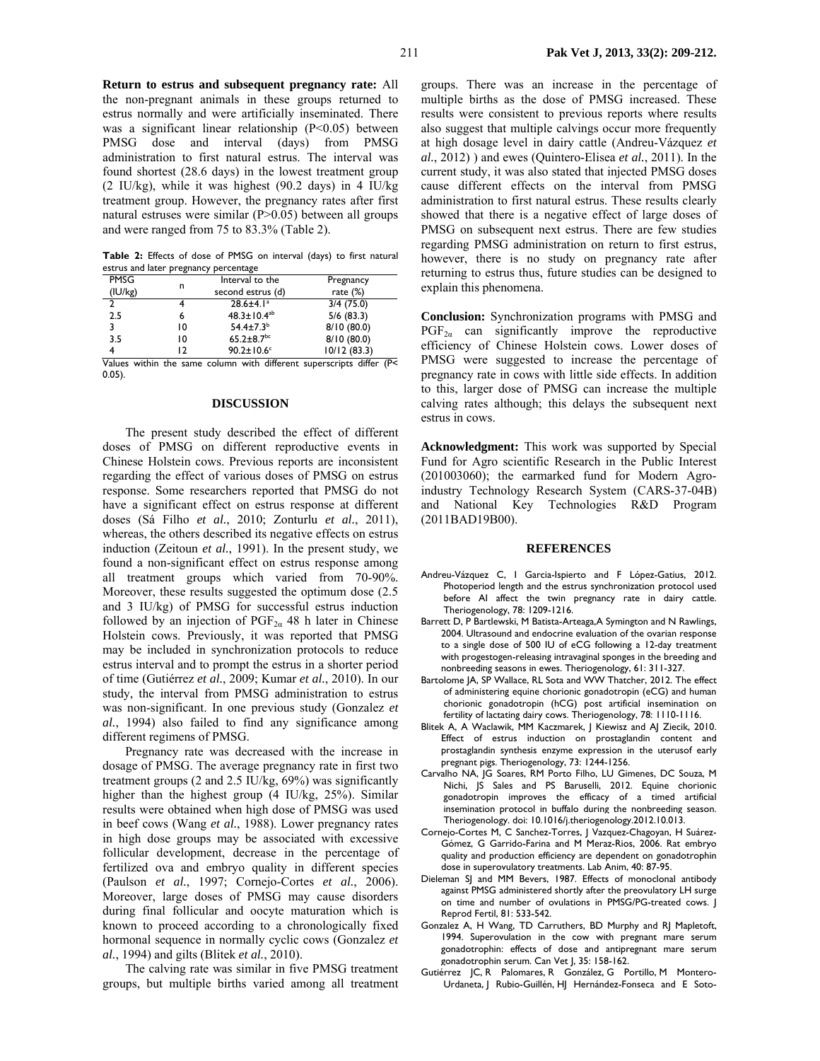**Return to estrus and subsequent pregnancy rate:** All the non-pregnant animals in these groups returned to estrus normally and were artificially inseminated. There was a significant linear relationship  $(P<0.05)$  between PMSG dose and interval (days) from PMSG administration to first natural estrus. The interval was found shortest (28.6 days) in the lowest treatment group (2 IU/kg), while it was highest (90.2 days) in 4 IU/kg treatment group. However, the pregnancy rates after first natural estruses were similar (P>0.05) between all groups and were ranged from 75 to 83.3% (Table 2).

**Table 2:** Effects of dose of PMSG on interval (days) to first natural estrus and later pregnancy percentage

| <b>PMSG</b>    |    | Interval to the              | Pregnancy                                                            |
|----------------|----|------------------------------|----------------------------------------------------------------------|
| (IU/kg)        | n  | second estrus (d)            | rate $(\%)$                                                          |
| $\overline{2}$ |    | $28.6 \pm 4.1^a$             | 3/4(75.0)                                                            |
| 2.5            | 6  | $48.3 \pm 10.4^{ab}$         | 5/6(83.3)                                                            |
| 3              | 10 | $54.4 \pm 7.3^b$             | 8/10(80.0)                                                           |
| 3.5            | 10 | $65.2 \pm 8.7$ <sup>bc</sup> | 8/10(80.0)                                                           |
|                | 12 | $90.2 \pm 10.6$ °            | 10/12(83.3)                                                          |
|                |    |                              | Values within the same column with different superscripts differ (De |

s within the same column with different superscripts differ (P< 0.05).

#### **DISCUSSION**

The present study described the effect of different doses of PMSG on different reproductive events in Chinese Holstein cows. Previous reports are inconsistent regarding the effect of various doses of PMSG on estrus response. Some researchers reported that PMSG do not have a significant effect on estrus response at different doses (Sá Filho *et al.*, 2010; Zonturlu *et al.*, 2011), whereas, the others described its negative effects on estrus induction (Zeitoun *et al.*, 1991). In the present study, we found a non-significant effect on estrus response among all treatment groups which varied from 70-90%. Moreover, these results suggested the optimum dose (2.5 and 3 IU/kg) of PMSG for successful estrus induction followed by an injection of  $PGF_{2\alpha}$  48 h later in Chinese Holstein cows. Previously, it was reported that PMSG may be included in synchronization protocols to reduce estrus interval and to prompt the estrus in a shorter period of time (Gutiérrez *et al.*, 2009; Kumar *et al.*, 2010). In our study, the interval from PMSG administration to estrus was non-significant. In one previous study (Gonzalez *et al.*, 1994) also failed to find any significance among different regimens of PMSG.

Pregnancy rate was decreased with the increase in dosage of PMSG. The average pregnancy rate in first two treatment groups (2 and 2.5 IU/kg, 69%) was significantly higher than the highest group (4 IU/kg, 25%). Similar results were obtained when high dose of PMSG was used in beef cows (Wang *et al.*, 1988). Lower pregnancy rates in high dose groups may be associated with excessive follicular development, decrease in the percentage of fertilized ova and embryo quality in different species (Paulson *et al.*, 1997; Cornejo-Cortes *et al.*, 2006). Moreover, large doses of PMSG may cause disorders during final follicular and oocyte maturation which is known to proceed according to a chronologically fixed hormonal sequence in normally cyclic cows (Gonzalez *et al.*, 1994) and gilts (Blitek *et al.*, 2010).

The calving rate was similar in five PMSG treatment groups, but multiple births varied among all treatment

groups. There was an increase in the percentage of multiple births as the dose of PMSG increased. These results were consistent to previous reports where results also suggest that multiple calvings occur more frequently at high dosage level in dairy cattle (Andreu-Vázquez *et al.*, 2012) ) and ewes (Quintero-Elisea *et al.*, 2011). In the current study, it was also stated that injected PMSG doses cause different effects on the interval from PMSG administration to first natural estrus. These results clearly showed that there is a negative effect of large doses of PMSG on subsequent next estrus. There are few studies regarding PMSG administration on return to first estrus, however, there is no study on pregnancy rate after returning to estrus thus, future studies can be designed to explain this phenomena.

**Conclusion:** Synchronization programs with PMSG and  $PGF_{2\alpha}$  can significantly improve the reproductive efficiency of Chinese Holstein cows. Lower doses of PMSG were suggested to increase the percentage of pregnancy rate in cows with little side effects. In addition to this, larger dose of PMSG can increase the multiple calving rates although; this delays the subsequent next estrus in cows.

**Acknowledgment:** This work was supported by Special Fund for Agro scientific Research in the Public Interest (201003060); the earmarked fund for Modern Agroindustry Technology Research System (CARS-37-04B) and National Key Technologies R&D Program (2011BAD19B00).

#### **REFERENCES**

- Andreu-Vázquez C, I Garcia-Ispierto and F López-Gatius, 2012. Photoperiod length and the estrus synchronization protocol used before AI affect the twin pregnancy rate in dairy cattle. Theriogenology, 78: 1209-1216.
- Barrett D, P Bartlewski, M Batista-Arteaga,A Symington and N Rawlings, 2004. Ultrasound and endocrine evaluation of the ovarian response to a single dose of 500 IU of eCG following a 12-day treatment with progestogen-releasing intravaginal sponges in the breeding and nonbreeding seasons in ewes. Theriogenology, 61: 311-327.
- Bartolome JA, SP Wallace, RL Sota and WW Thatcher, 2012. The effect of administering equine chorionic gonadotropin (eCG) and human chorionic gonadotropin (hCG) post artificial insemination on fertility of lactating dairy cows. Theriogenology, 78: 1110-1116.
- Blitek A, A Waclawik, MM Kaczmarek, J Kiewisz and AJ Ziecik, 2010. Effect of estrus induction on prostaglandin content and prostaglandin synthesis enzyme expression in the uterusof early pregnant pigs. Theriogenology, 73: 1244-1256.
- Carvalho NA, JG Soares, RM Porto Filho, LU Gimenes, DC Souza, M Nichi, JS Sales and PS Baruselli, 2012. Equine chorionic gonadotropin improves the efficacy of a timed artificial insemination protocol in buffalo during the nonbreeding season. Theriogenology. doi: 10.1016/j.theriogenology.2012.10.013.
- Cornejo-Cortes M, C Sanchez-Torres, J Vazquez-Chagoyan, H Suárez-Gómez, G Garrido-Farina and M Meraz-Rios, 2006. Rat embryo quality and production efficiency are dependent on gonadotrophin dose in superovulatory treatments. Lab Anim, 40: 87-95.
- Dieleman SJ and MM Bevers, 1987. Effects of monoclonal antibody against PMSG administered shortly after the preovulatory LH surge on time and number of ovulations in PMSG/PG-treated cows. J Reprod Fertil, 81: 533-542.
- Gonzalez A, H Wang, TD Carruthers, BD Murphy and RJ Mapletoft, 1994. Superovulation in the cow with pregnant mare serum gonadotrophin: effects of dose and antipregnant mare serum gonadotrophin serum. Can Vet J, 35: 158-162.
- Gutiérrez JC, R Palomares, R González, G Portillo, M Montero-Urdaneta, J Rubio-Guillén, HJ Hernández-Fonseca and E Soto-